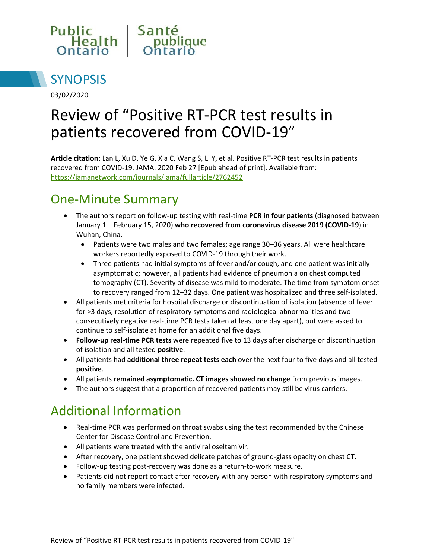



03/02/2020

# Review of "Positive RT-PCR test results in patients recovered from COVID-19"

**Article citation:** Lan L, Xu D, Ye G, Xia C, Wang S, Li Y, et al. Positive RT-PCR test results in patients recovered from COVID-19. JAMA. 2020 Feb 27 [Epub ahead of print]. Available from: <https://jamanetwork.com/journals/jama/fullarticle/2762452>

#### One-Minute Summary

- The authors report on follow-up testing with real-time **PCR in four patients** (diagnosed between January 1 – February 15, 2020) **who recovered from coronavirus disease 2019 (COVID-19**) in Wuhan, China.
	- Patients were two males and two females; age range 30–36 years. All were healthcare workers reportedly exposed to COVID-19 through their work.
	- Three patients had initial symptoms of fever and/or cough, and one patient was initially asymptomatic; however, all patients had evidence of pneumonia on chest computed tomography (CT). Severity of disease was mild to moderate. The time from symptom onset to recovery ranged from 12–32 days. One patient was hospitalized and three self-isolated.
- All patients met criteria for hospital discharge or discontinuation of isolation (absence of fever for >3 days, resolution of respiratory symptoms and radiological abnormalities and two consecutively negative real-time PCR tests taken at least one day apart), but were asked to continue to self-isolate at home for an additional five days.
- **Follow-up real-time PCR tests** were repeated five to 13 days after discharge or discontinuation of isolation and all tested **positive**.
- All patients had **additional three repeat tests each** over the next four to five days and all tested **positive**.
- All patients **remained asymptomatic. CT images showed no change** from previous images.
- The authors suggest that a proportion of recovered patients may still be virus carriers.

## Additional Information

- Real-time PCR was performed on throat swabs using the test recommended by the Chinese Center for Disease Control and Prevention.
- All patients were treated with the antiviral oseltamivir.
- After recovery, one patient showed delicate patches of ground-glass opacity on chest CT.
- Follow-up testing post-recovery was done as a return-to-work measure.
- Patients did not report contact after recovery with any person with respiratory symptoms and no family members were infected.